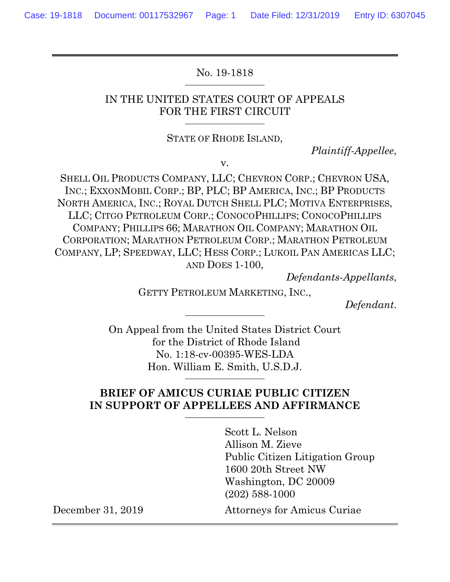No. 19-1818

### IN THE UNITED STATES COURT OF APPEALS FOR THE FIRST CIRCUIT

#### STATE OF RHODE ISLAND,

*Plaintiff-Appellee*,

v.

SHELL OIL PRODUCTS COMPANY, LLC; CHEVRON CORP.; CHEVRON USA, INC.; EXXONMOBIL CORP.; BP, PLC; BP AMERICA, INC.; BP PRODUCTS NORTH AMERICA, INC.; ROYAL DUTCH SHELL PLC; MOTIVA ENTERPRISES, LLC; CITGO PETROLEUM CORP.; CONOCOPHILLIPS; CONOCOPHILLIPS COMPANY; PHILLIPS 66; MARATHON OIL COMPANY; MARATHON OIL CORPORATION; MARATHON PETROLEUM CORP.; MARATHON PETROLEUM COMPANY, LP; SPEEDWAY, LLC; HESS CORP.; LUKOIL PAN AMERICAS LLC; AND DOES 1-100,

*Defendants-Appellants*,

GETTY PETROLEUM MARKETING, INC.,

*Defendant*.

On Appeal from the United States District Court for the District of Rhode Island No. 1:18-cv-00395-WES-LDA Hon. William E. Smith, U.S.D.J.

### **BRIEF OF AMICUS CURIAE PUBLIC CITIZEN IN SUPPORT OF APPELLEES AND AFFIRMANCE**

Scott L. Nelson Allison M. Zieve Public Citizen Litigation Group 1600 20th Street NW Washington, DC 20009 (202) 588-1000 December 31, 2019 Attorneys for Amicus Curiae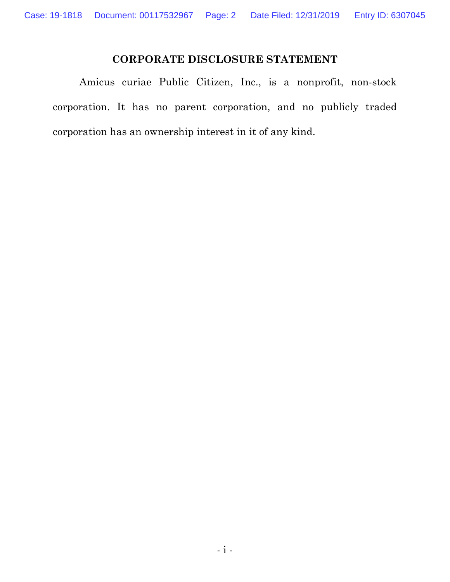# **CORPORATE DISCLOSURE STATEMENT**

Amicus curiae Public Citizen, Inc., is a nonprofit, non-stock corporation. It has no parent corporation, and no publicly traded corporation has an ownership interest in it of any kind.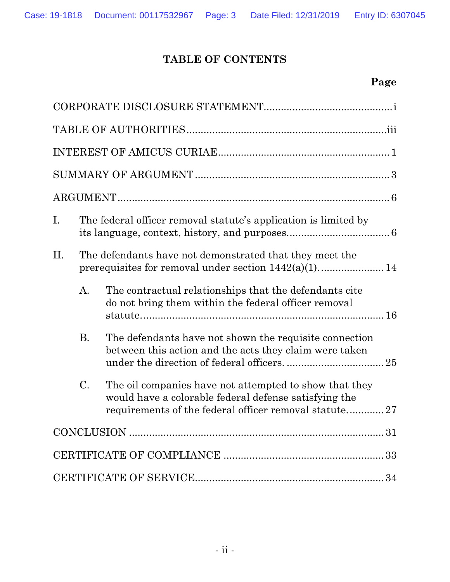# **TABLE OF CONTENTS**

| Ι.  | The federal officer removal statute's application is limited by |                                                                                                                                                                          |  |  |
|-----|-----------------------------------------------------------------|--------------------------------------------------------------------------------------------------------------------------------------------------------------------------|--|--|
| II. | The defendants have not demonstrated that they meet the         |                                                                                                                                                                          |  |  |
|     | $\mathbf{A}$ .                                                  | The contractual relationships that the defendants cite<br>do not bring them within the federal officer removal                                                           |  |  |
|     | <b>B.</b>                                                       | The defendants have not shown the requisite connection<br>between this action and the acts they claim were taken                                                         |  |  |
|     | $C_{\cdot}$                                                     | The oil companies have not attempted to show that they<br>would have a colorable federal defense satisfying the<br>requirements of the federal officer removal statute27 |  |  |
|     |                                                                 |                                                                                                                                                                          |  |  |
|     |                                                                 |                                                                                                                                                                          |  |  |
|     |                                                                 |                                                                                                                                                                          |  |  |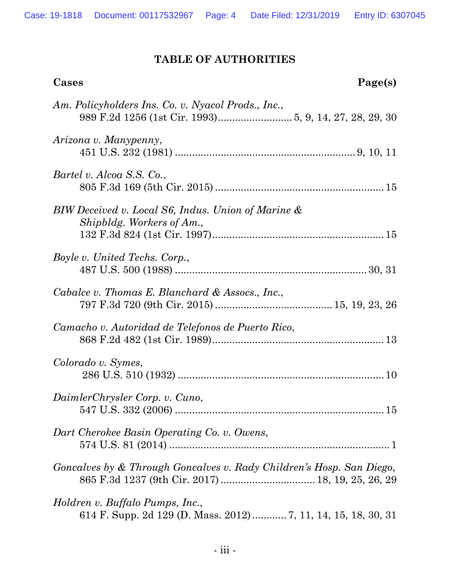# **TABLE OF AUTHORITIES**

| Page(s)<br>Cases                                                                                 |
|--------------------------------------------------------------------------------------------------|
| Am. Policyholders Ins. Co. v. Nyacol Prods., Inc.,                                               |
| Arizona v. Manypenny,                                                                            |
| Bartel v. Alcoa S.S. Co.,                                                                        |
| BIW Deceived v. Local S6, Indus. Union of Marine &<br>Shipbldg. Workers of Am.,                  |
| <i>Boyle v. United Techs. Corp.,</i>                                                             |
| Cabalce v. Thomas E. Blanchard & Assocs., Inc.,                                                  |
| Camacho v. Autoridad de Telefonos de Puerto Rico,                                                |
| Colorado v. Symes,                                                                               |
| DaimlerChrysler Corp. v. Cuno,                                                                   |
| Dart Cherokee Basin Operating Co. v. Owens,                                                      |
| Goncalves by & Through Goncalves v. Rady Children's Hosp. San Diego,                             |
| Holdren v. Buffalo Pumps, Inc.,<br>614 F. Supp. 2d 129 (D. Mass. 2012) 7, 11, 14, 15, 18, 30, 31 |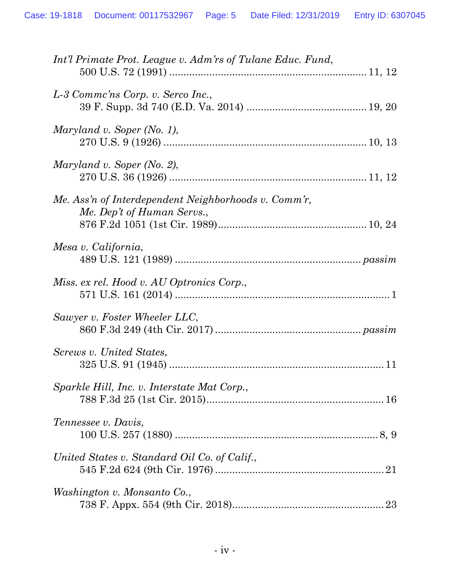| Int'l Primate Prot. League v. Adm'rs of Tulane Educ. Fund,                         |
|------------------------------------------------------------------------------------|
| L-3 Commc'ns Corp. v. Serco Inc.,                                                  |
| Maryland v. Soper (No. 1),                                                         |
| Maryland v. Soper (No. 2),                                                         |
| Me. Ass'n of Interdependent Neighborhoods v. Comm'r,<br>Me. Dep't of Human Servs., |
| Mesa v. California,                                                                |
| Miss. ex rel. Hood v. AU Optronics Corp.,                                          |
| Sawyer v. Foster Wheeler LLC,                                                      |
| Screws v. United States,                                                           |
| Sparkle Hill, Inc. v. Interstate Mat Corp.,                                        |
| Tennessee v. Davis,                                                                |
| United States v. Standard Oil Co. of Calif.,                                       |
| Washington v. Monsanto Co.,<br>23                                                  |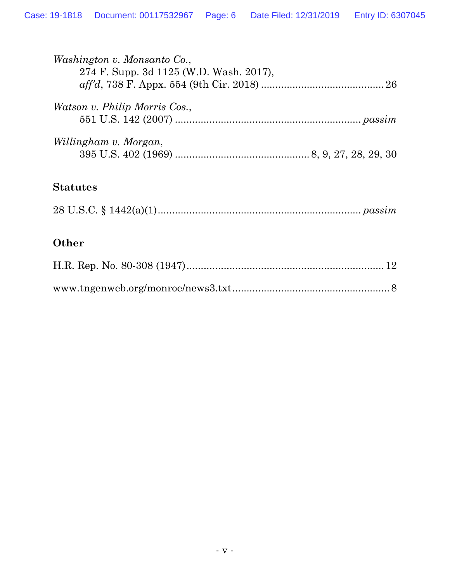| <i>Washington v. Monsanto Co.,</i><br>274 F. Supp. 3d 1125 (W.D. Wash. 2017), |  |
|-------------------------------------------------------------------------------|--|
| <i>Watson v. Philip Morris Cos.,</i>                                          |  |
| Willingham v. Morgan,                                                         |  |

## **Statutes**

# **Other**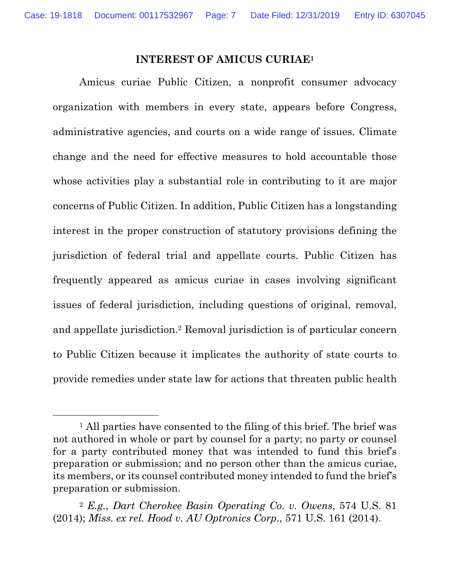#### **INTEREST OF AMICUS CURIAE1**

Amicus curiae Public Citizen, a nonprofit consumer advocacy organization with members in every state, appears before Congress, administrative agencies, and courts on a wide range of issues. Climate change and the need for effective measures to hold accountable those whose activities play a substantial role in contributing to it are major concerns of Public Citizen. In addition, Public Citizen has a longstanding interest in the proper construction of statutory provisions defining the jurisdiction of federal trial and appellate courts. Public Citizen has frequently appeared as amicus curiae in cases involving significant issues of federal jurisdiction, including questions of original, removal, and appellate jurisdiction.2 Removal jurisdiction is of particular concern to Public Citizen because it implicates the authority of state courts to provide remedies under state law for actions that threaten public health

<sup>&</sup>lt;sup>1</sup> All parties have consented to the filing of this brief. The brief was not authored in whole or part by counsel for a party; no party or counsel for a party contributed money that was intended to fund this brief's preparation or submission; and no person other than the amicus curiae, its members, or its counsel contributed money intended to fund the brief's preparation or submission.

<sup>2</sup> *E.g.*, *Dart Cherokee Basin Operating Co. v. Owens*, 574 U.S. 81 (2014); *Miss. ex rel. Hood v. AU Optronics Corp*., 571 U.S. 161 (2014).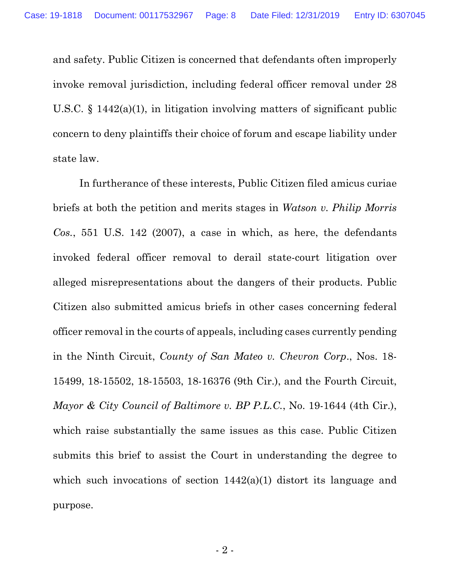and safety. Public Citizen is concerned that defendants often improperly invoke removal jurisdiction, including federal officer removal under 28 U.S.C.  $\S$  1442(a)(1), in litigation involving matters of significant public concern to deny plaintiffs their choice of forum and escape liability under state law.

In furtherance of these interests, Public Citizen filed amicus curiae briefs at both the petition and merits stages in *Watson v. Philip Morris Cos.*, 551 U.S. 142 (2007), a case in which, as here, the defendants invoked federal officer removal to derail state-court litigation over alleged misrepresentations about the dangers of their products. Public Citizen also submitted amicus briefs in other cases concerning federal officer removal in the courts of appeals, including cases currently pending in the Ninth Circuit, *County of San Mateo v. Chevron Corp*., Nos. 18- 15499, 18-15502, 18-15503, 18-16376 (9th Cir.), and the Fourth Circuit, *Mayor & City Council of Baltimore v. BP P.L.C.*, No. 19-1644 (4th Cir.), which raise substantially the same issues as this case. Public Citizen submits this brief to assist the Court in understanding the degree to which such invocations of section  $1442(a)(1)$  distort its language and purpose.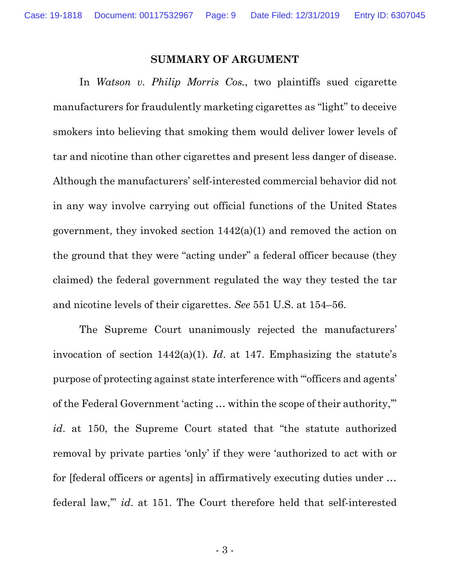#### **SUMMARY OF ARGUMENT**

In *Watson v. Philip Morris Cos.*, two plaintiffs sued cigarette manufacturers for fraudulently marketing cigarettes as "light" to deceive smokers into believing that smoking them would deliver lower levels of tar and nicotine than other cigarettes and present less danger of disease. Although the manufacturers' self-interested commercial behavior did not in any way involve carrying out official functions of the United States government, they invoked section 1442(a)(1) and removed the action on the ground that they were "acting under" a federal officer because (they claimed) the federal government regulated the way they tested the tar and nicotine levels of their cigarettes. *See* 551 U.S. at 154–56.

The Supreme Court unanimously rejected the manufacturers' invocation of section 1442(a)(1). *Id*. at 147. Emphasizing the statute's purpose of protecting against state interference with "'officers and agents' of the Federal Government 'acting … within the scope of their authority,'" *id*. at 150, the Supreme Court stated that "the statute authorized removal by private parties 'only' if they were 'authorized to act with or for [federal officers or agents] in affirmatively executing duties under … federal law,'" *id*. at 151. The Court therefore held that self-interested

- 3 -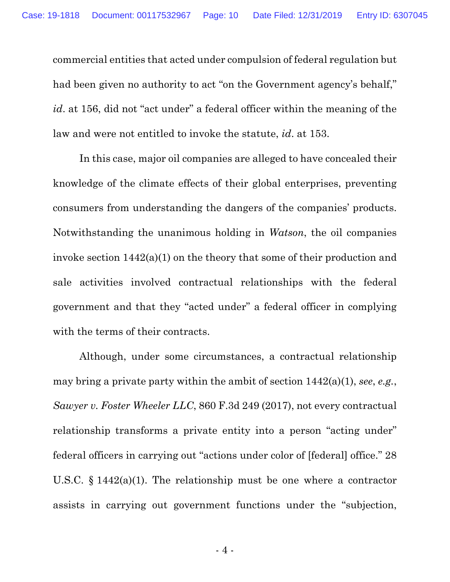commercial entities that acted under compulsion of federal regulation but had been given no authority to act "on the Government agency's behalf," *id*. at 156, did not "act under" a federal officer within the meaning of the law and were not entitled to invoke the statute, *id*. at 153.

In this case, major oil companies are alleged to have concealed their knowledge of the climate effects of their global enterprises, preventing consumers from understanding the dangers of the companies' products. Notwithstanding the unanimous holding in *Watson*, the oil companies invoke section 1442(a)(1) on the theory that some of their production and sale activities involved contractual relationships with the federal government and that they "acted under" a federal officer in complying with the terms of their contracts.

Although, under some circumstances, a contractual relationship may bring a private party within the ambit of section 1442(a)(1), *see*, *e.g.*, *Sawyer v. Foster Wheeler LLC*, 860 F.3d 249 (2017), not every contractual relationship transforms a private entity into a person "acting under" federal officers in carrying out "actions under color of [federal] office." 28 U.S.C. § 1442(a)(1). The relationship must be one where a contractor assists in carrying out government functions under the "subjection,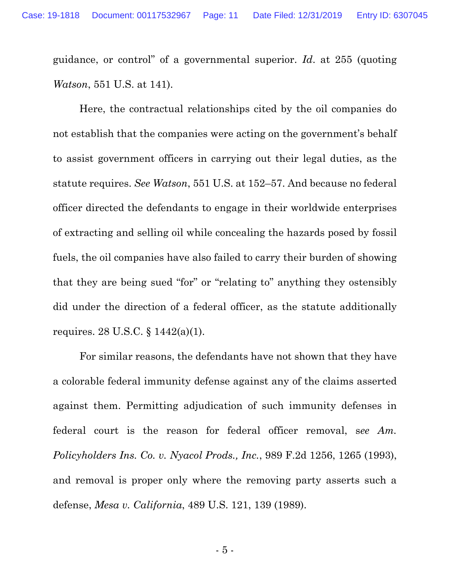guidance, or control" of a governmental superior. *Id*. at 255 (quoting *Watson*, 551 U.S. at 141).

Here, the contractual relationships cited by the oil companies do not establish that the companies were acting on the government's behalf to assist government officers in carrying out their legal duties, as the statute requires. *See Watson*, 551 U.S. at 152–57. And because no federal officer directed the defendants to engage in their worldwide enterprises of extracting and selling oil while concealing the hazards posed by fossil fuels, the oil companies have also failed to carry their burden of showing that they are being sued "for" or "relating to" anything they ostensibly did under the direction of a federal officer, as the statute additionally requires. 28 U.S.C. § 1442(a)(1).

For similar reasons, the defendants have not shown that they have a colorable federal immunity defense against any of the claims asserted against them. Permitting adjudication of such immunity defenses in federal court is the reason for federal officer removal, s*ee Am. Policyholders Ins. Co. v. Nyacol Prods., Inc.*, 989 F.2d 1256, 1265 (1993), and removal is proper only where the removing party asserts such a defense, *Mesa v. California*, 489 U.S. 121, 139 (1989).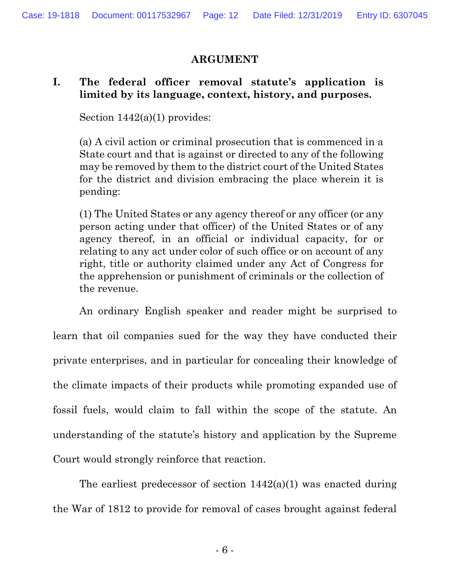## **ARGUMENT**

## **I. The federal officer removal statute's application is limited by its language, context, history, and purposes.**

Section  $1442(a)(1)$  provides:

(a) A civil action or criminal prosecution that is commenced in a State court and that is against or directed to any of the following may be removed by them to the district court of the United States for the district and division embracing the place wherein it is pending:

(1) The United States or any agency thereof or any officer (or any person acting under that officer) of the United States or of any agency thereof, in an official or individual capacity, for or relating to any act under color of such office or on account of any right, title or authority claimed under any Act of Congress for the apprehension or punishment of criminals or the collection of the revenue.

An ordinary English speaker and reader might be surprised to learn that oil companies sued for the way they have conducted their private enterprises, and in particular for concealing their knowledge of the climate impacts of their products while promoting expanded use of fossil fuels, would claim to fall within the scope of the statute. An understanding of the statute's history and application by the Supreme Court would strongly reinforce that reaction.

The earliest predecessor of section 1442(a)(1) was enacted during the War of 1812 to provide for removal of cases brought against federal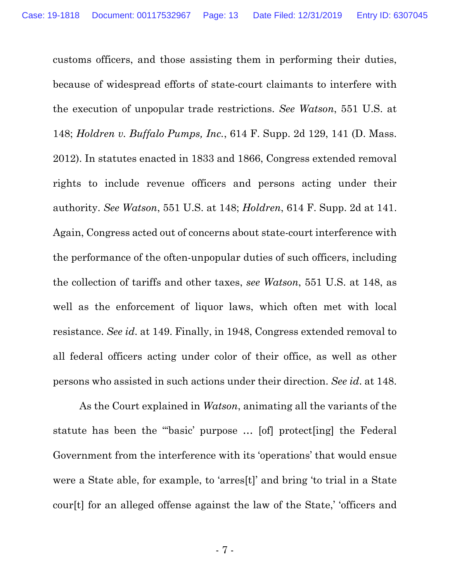customs officers, and those assisting them in performing their duties, because of widespread efforts of state-court claimants to interfere with the execution of unpopular trade restrictions. *See Watson*, 551 U.S. at 148; *Holdren v. Buffalo Pumps, Inc.*, 614 F. Supp. 2d 129, 141 (D. Mass. 2012). In statutes enacted in 1833 and 1866, Congress extended removal rights to include revenue officers and persons acting under their authority. *See Watson*, 551 U.S. at 148; *Holdren*, 614 F. Supp. 2d at 141. Again, Congress acted out of concerns about state-court interference with the performance of the often-unpopular duties of such officers, including the collection of tariffs and other taxes, *see Watson*, 551 U.S. at 148, as well as the enforcement of liquor laws, which often met with local resistance. *See id*. at 149. Finally, in 1948, Congress extended removal to all federal officers acting under color of their office, as well as other persons who assisted in such actions under their direction. *See id*. at 148.

As the Court explained in *Watson*, animating all the variants of the statute has been the "'basic' purpose … [of] protect[ing] the Federal Government from the interference with its 'operations' that would ensue were a State able, for example, to 'arres[t]' and bring 'to trial in a State cour[t] for an alleged offense against the law of the State,' 'officers and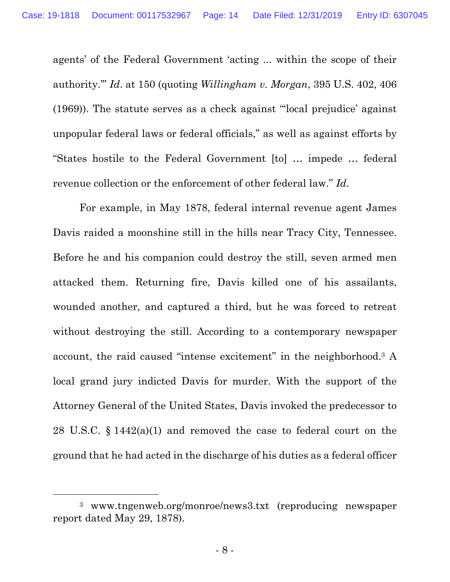agents' of the Federal Government 'acting ... within the scope of their authority.'" *Id*. at 150 (quoting *Willingham v. Morgan*, 395 U.S. 402, 406 (1969)). The statute serves as a check against "'local prejudice' against unpopular federal laws or federal officials," as well as against efforts by "States hostile to the Federal Government [to] … impede … federal revenue collection or the enforcement of other federal law." *Id*.

For example, in May 1878, federal internal revenue agent James Davis raided a moonshine still in the hills near Tracy City, Tennessee. Before he and his companion could destroy the still, seven armed men attacked them. Returning fire, Davis killed one of his assailants, wounded another, and captured a third, but he was forced to retreat without destroying the still. According to a contemporary newspaper account, the raid caused "intense excitement" in the neighborhood.3 A local grand jury indicted Davis for murder. With the support of the Attorney General of the United States, Davis invoked the predecessor to 28 U.S.C. § 1442(a)(1) and removed the case to federal court on the ground that he had acted in the discharge of his duties as a federal officer

<sup>3</sup> www.tngenweb.org/monroe/news3.txt (reproducing newspaper report dated May 29, 1878).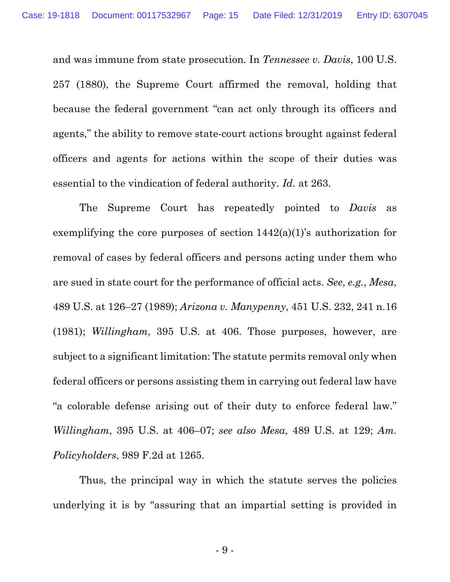and was immune from state prosecution. In *Tennessee v. Davis*, 100 U.S. 257 (1880), the Supreme Court affirmed the removal, holding that because the federal government "can act only through its officers and agents," the ability to remove state-court actions brought against federal officers and agents for actions within the scope of their duties was essential to the vindication of federal authority. *Id.* at 263.

The Supreme Court has repeatedly pointed to *Davis* as exemplifying the core purposes of section 1442(a)(1)'s authorization for removal of cases by federal officers and persons acting under them who are sued in state court for the performance of official acts. *See*, *e.g.*, *Mesa*, 489 U.S. at 126–27 (1989); *Arizona v. Manypenny*, 451 U.S. 232, 241 n.16 (1981); *Willingham*, 395 U.S. at 406. Those purposes, however, are subject to a significant limitation: The statute permits removal only when federal officers or persons assisting them in carrying out federal law have "a colorable defense arising out of their duty to enforce federal law." *Willingham*, 395 U.S. at 406–07; *see also Mesa*, 489 U.S. at 129; *Am. Policyholders*, 989 F.2d at 1265.

Thus, the principal way in which the statute serves the policies underlying it is by "assuring that an impartial setting is provided in

- 9 -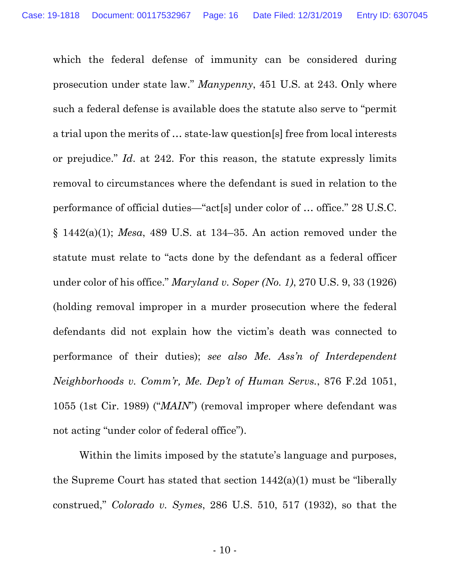which the federal defense of immunity can be considered during prosecution under state law." *Manypenny*, 451 U.S. at 243. Only where such a federal defense is available does the statute also serve to "permit a trial upon the merits of … state-law question[s] free from local interests or prejudice." *Id*. at 242. For this reason, the statute expressly limits removal to circumstances where the defendant is sued in relation to the performance of official duties—"act[s] under color of … office." 28 U.S.C. § 1442(a)(1); *Mesa*, 489 U.S. at 134–35. An action removed under the statute must relate to "acts done by the defendant as a federal officer under color of his office." *Maryland v. Soper (No. 1)*, 270 U.S. 9, 33 (1926) (holding removal improper in a murder prosecution where the federal defendants did not explain how the victim's death was connected to performance of their duties); *see also Me. Ass'n of Interdependent Neighborhoods v. Comm'r, Me. Dep't of Human Servs.*, 876 F.2d 1051, 1055 (1st Cir. 1989) ("*MAIN*") (removal improper where defendant was not acting "under color of federal office").

Within the limits imposed by the statute's language and purposes, the Supreme Court has stated that section 1442(a)(1) must be "liberally construed," *Colorado v. Symes*, 286 U.S. 510, 517 (1932), so that the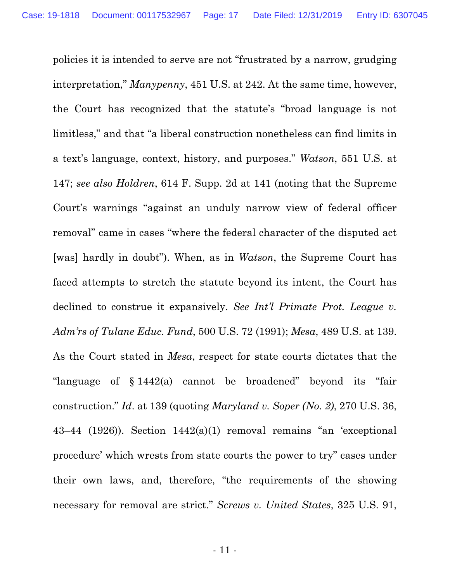policies it is intended to serve are not "frustrated by a narrow, grudging interpretation," *Manypenny*, 451 U.S. at 242. At the same time, however, the Court has recognized that the statute's "broad language is not limitless," and that "a liberal construction nonetheless can find limits in a text's language, context, history, and purposes." *Watson*, 551 U.S. at 147; *see also Holdren*, 614 F. Supp. 2d at 141 (noting that the Supreme Court's warnings "against an unduly narrow view of federal officer removal" came in cases "where the federal character of the disputed act [was] hardly in doubt"). When, as in *Watson*, the Supreme Court has faced attempts to stretch the statute beyond its intent, the Court has declined to construe it expansively. *See Int'l Primate Prot. League v. Adm'rs of Tulane Educ. Fund*, 500 U.S. 72 (1991); *Mesa*, 489 U.S. at 139. As the Court stated in *Mesa*, respect for state courts dictates that the "language of § 1442(a) cannot be broadened" beyond its "fair construction." *Id*. at 139 (quoting *Maryland v. Soper (No. 2)*, 270 U.S. 36, 43–44 (1926)). Section 1442(a)(1) removal remains "an 'exceptional procedure' which wrests from state courts the power to try" cases under their own laws, and, therefore, "the requirements of the showing necessary for removal are strict." *Screws v. United States*, 325 U.S. 91,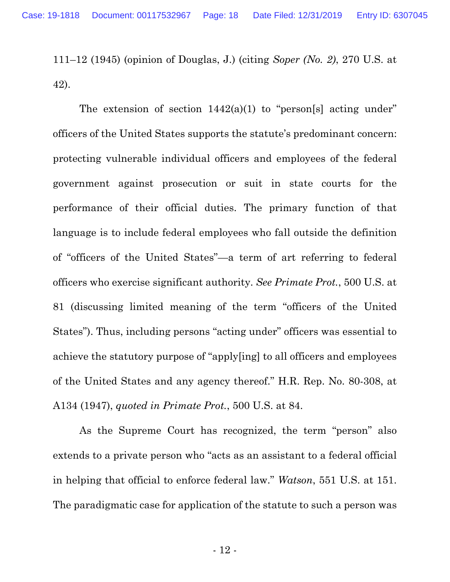111–12 (1945) (opinion of Douglas, J.) (citing *Soper (No. 2)*, 270 U.S. at 42).

The extension of section  $1442(a)(1)$  to "person[s] acting under" officers of the United States supports the statute's predominant concern: protecting vulnerable individual officers and employees of the federal government against prosecution or suit in state courts for the performance of their official duties. The primary function of that language is to include federal employees who fall outside the definition of "officers of the United States"—a term of art referring to federal officers who exercise significant authority. *See Primate Prot.*, 500 U.S. at 81 (discussing limited meaning of the term "officers of the United States"). Thus, including persons "acting under" officers was essential to achieve the statutory purpose of "apply[ing] to all officers and employees of the United States and any agency thereof." H.R. Rep. No. 80-308, at A134 (1947), *quoted in Primate Prot.*, 500 U.S. at 84.

As the Supreme Court has recognized, the term "person" also extends to a private person who "acts as an assistant to a federal official in helping that official to enforce federal law." *Watson*, 551 U.S. at 151. The paradigmatic case for application of the statute to such a person was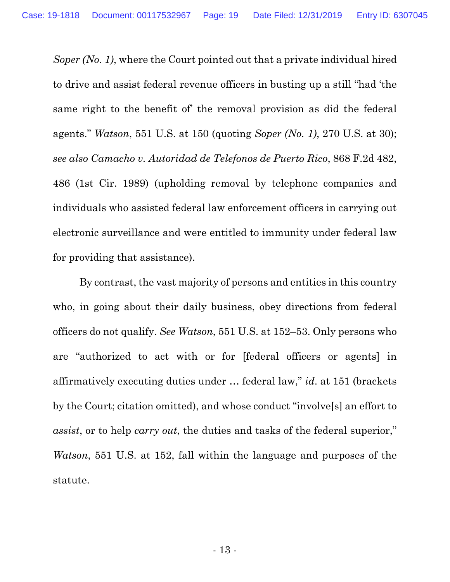*Soper (No. 1)*, where the Court pointed out that a private individual hired to drive and assist federal revenue officers in busting up a still "had 'the same right to the benefit of' the removal provision as did the federal agents." *Watson*, 551 U.S. at 150 (quoting *Soper (No. 1)*, 270 U.S. at 30); *see also Camacho v. Autoridad de Telefonos de Puerto Rico*, 868 F.2d 482, 486 (1st Cir. 1989) (upholding removal by telephone companies and individuals who assisted federal law enforcement officers in carrying out electronic surveillance and were entitled to immunity under federal law for providing that assistance).

By contrast, the vast majority of persons and entities in this country who, in going about their daily business, obey directions from federal officers do not qualify. *See Watson*, 551 U.S. at 152–53. Only persons who are "authorized to act with or for [federal officers or agents] in affirmatively executing duties under … federal law," *id*. at 151 (brackets by the Court; citation omitted), and whose conduct "involve[s] an effort to *assist*, or to help *carry out*, the duties and tasks of the federal superior," *Watson*, 551 U.S. at 152, fall within the language and purposes of the statute.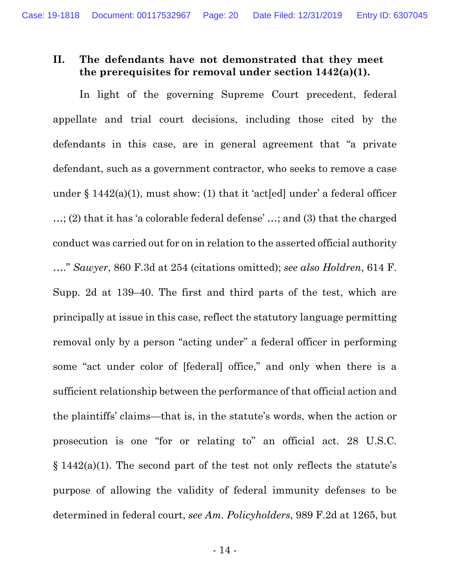### **II. The defendants have not demonstrated that they meet the prerequisites for removal under section 1442(a)(1).**

In light of the governing Supreme Court precedent, federal appellate and trial court decisions, including those cited by the defendants in this case, are in general agreement that "a private defendant, such as a government contractor, who seeks to remove a case under  $\S 1442(a)(1)$ , must show: (1) that it 'act[ed] under' a federal officer …; (2) that it has 'a colorable federal defense' …; and (3) that the charged conduct was carried out for on in relation to the asserted official authority …." *Sawyer*, 860 F.3d at 254 (citations omitted); *see also Holdren*, 614 F. Supp. 2d at 139–40. The first and third parts of the test, which are principally at issue in this case, reflect the statutory language permitting removal only by a person "acting under" a federal officer in performing some "act under color of [federal] office," and only when there is a sufficient relationship between the performance of that official action and the plaintiffs' claims—that is, in the statute's words, when the action or prosecution is one "for or relating to" an official act. 28 U.S.C. § 1442(a)(1). The second part of the test not only reflects the statute's purpose of allowing the validity of federal immunity defenses to be determined in federal court, *see Am. Policyholders*, 989 F.2d at 1265, but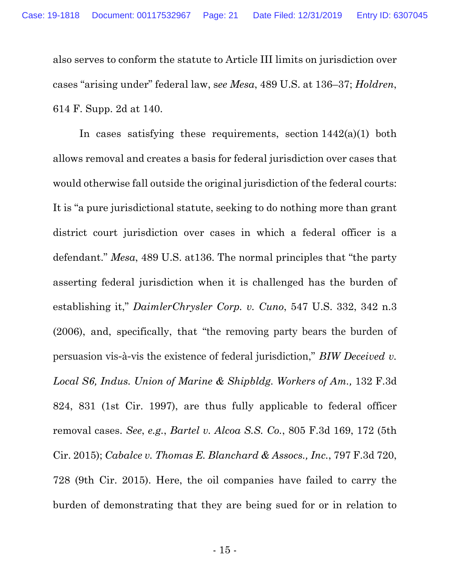also serves to conform the statute to Article III limits on jurisdiction over cases "arising under" federal law, s*ee Mesa*, 489 U.S. at 136–37; *Holdren*, 614 F. Supp. 2d at 140.

In cases satisfying these requirements, section  $1442(a)(1)$  both allows removal and creates a basis for federal jurisdiction over cases that would otherwise fall outside the original jurisdiction of the federal courts: It is "a pure jurisdictional statute, seeking to do nothing more than grant district court jurisdiction over cases in which a federal officer is a defendant." *Mesa*, 489 U.S. at136. The normal principles that "the party asserting federal jurisdiction when it is challenged has the burden of establishing it," *DaimlerChrysler Corp. v. Cuno*, 547 U.S. 332, 342 n.3 (2006), and, specifically, that "the removing party bears the burden of persuasion vis-à-vis the existence of federal jurisdiction," *BIW Deceived v. Local S6, Indus. Union of Marine & Shipbldg. Workers of Am.,* 132 F.3d 824, 831 (1st Cir. 1997), are thus fully applicable to federal officer removal cases. *See*, *e.g.*, *Bartel v. Alcoa S.S. Co.*, 805 F.3d 169, 172 (5th Cir. 2015); *Cabalce v. Thomas E. Blanchard & Assocs., Inc.*, 797 F.3d 720, 728 (9th Cir. 2015). Here, the oil companies have failed to carry the burden of demonstrating that they are being sued for or in relation to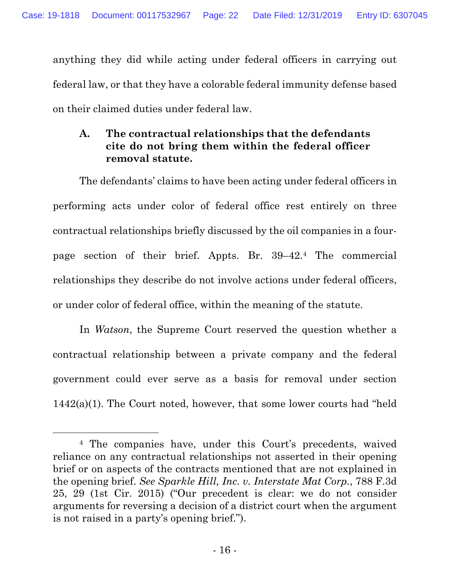anything they did while acting under federal officers in carrying out federal law, or that they have a colorable federal immunity defense based on their claimed duties under federal law.

## **A. The contractual relationships that the defendants cite do not bring them within the federal officer removal statute.**

The defendants' claims to have been acting under federal officers in performing acts under color of federal office rest entirely on three contractual relationships briefly discussed by the oil companies in a fourpage section of their brief. Appts. Br. 39–42.4 The commercial relationships they describe do not involve actions under federal officers, or under color of federal office, within the meaning of the statute.

In *Watson*, the Supreme Court reserved the question whether a contractual relationship between a private company and the federal government could ever serve as a basis for removal under section  $1442(a)(1)$ . The Court noted, however, that some lower courts had "held"

<sup>4</sup> The companies have, under this Court's precedents, waived reliance on any contractual relationships not asserted in their opening brief or on aspects of the contracts mentioned that are not explained in the opening brief. *See Sparkle Hill, Inc. v. Interstate Mat Corp.*, 788 F.3d 25, 29 (1st Cir. 2015) ("Our precedent is clear: we do not consider arguments for reversing a decision of a district court when the argument is not raised in a party's opening brief.").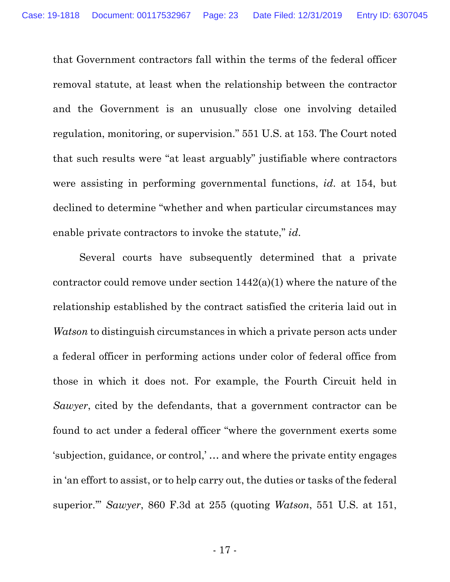that Government contractors fall within the terms of the federal officer removal statute, at least when the relationship between the contractor and the Government is an unusually close one involving detailed regulation, monitoring, or supervision." 551 U.S. at 153. The Court noted that such results were "at least arguably" justifiable where contractors were assisting in performing governmental functions, *id*. at 154, but declined to determine "whether and when particular circumstances may enable private contractors to invoke the statute," *id*.

Several courts have subsequently determined that a private contractor could remove under section 1442(a)(1) where the nature of the relationship established by the contract satisfied the criteria laid out in *Watson* to distinguish circumstances in which a private person acts under a federal officer in performing actions under color of federal office from those in which it does not. For example, the Fourth Circuit held in *Sawyer*, cited by the defendants, that a government contractor can be found to act under a federal officer "where the government exerts some 'subjection, guidance, or control,' … and where the private entity engages in 'an effort to assist, or to help carry out, the duties or tasks of the federal superior.'" *Sawyer*, 860 F.3d at 255 (quoting *Watson*, 551 U.S. at 151,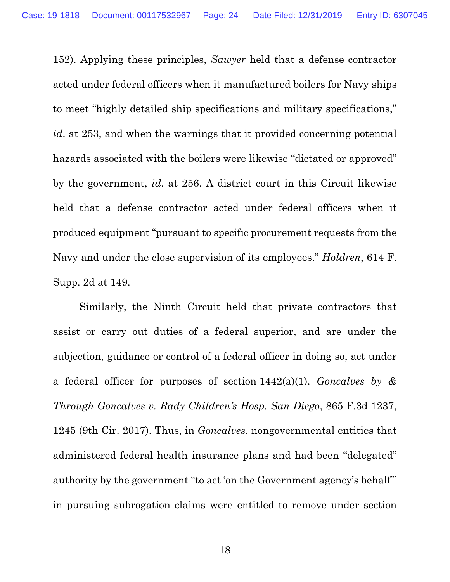152). Applying these principles, *Sawyer* held that a defense contractor acted under federal officers when it manufactured boilers for Navy ships to meet "highly detailed ship specifications and military specifications," *id*. at 253, and when the warnings that it provided concerning potential hazards associated with the boilers were likewise "dictated or approved" by the government, *id*. at 256. A district court in this Circuit likewise held that a defense contractor acted under federal officers when it produced equipment "pursuant to specific procurement requests from the Navy and under the close supervision of its employees." *Holdren*, 614 F. Supp. 2d at 149.

Similarly, the Ninth Circuit held that private contractors that assist or carry out duties of a federal superior, and are under the subjection, guidance or control of a federal officer in doing so, act under a federal officer for purposes of section 1442(a)(1). *Goncalves by & Through Goncalves v. Rady Children's Hosp. San Diego*, 865 F.3d 1237, 1245 (9th Cir. 2017). Thus, in *Goncalves*, nongovernmental entities that administered federal health insurance plans and had been "delegated" authority by the government "to act 'on the Government agency's behalf'" in pursuing subrogation claims were entitled to remove under section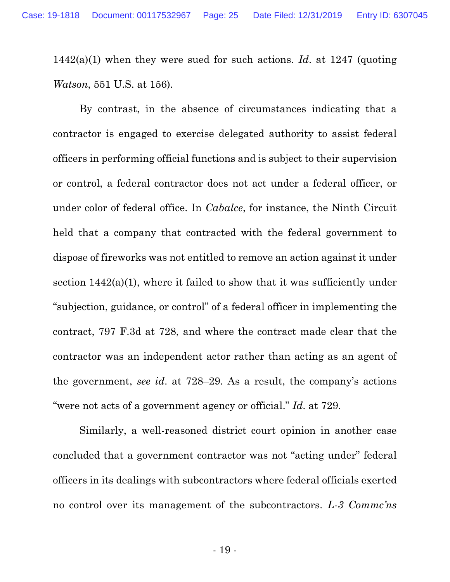1442(a)(1) when they were sued for such actions. *Id*. at 1247 (quoting *Watson*, 551 U.S. at 156).

By contrast, in the absence of circumstances indicating that a contractor is engaged to exercise delegated authority to assist federal officers in performing official functions and is subject to their supervision or control, a federal contractor does not act under a federal officer, or under color of federal office. In *Cabalce*, for instance, the Ninth Circuit held that a company that contracted with the federal government to dispose of fireworks was not entitled to remove an action against it under section  $1442(a)(1)$ , where it failed to show that it was sufficiently under "subjection, guidance, or control" of a federal officer in implementing the contract, 797 F.3d at 728, and where the contract made clear that the contractor was an independent actor rather than acting as an agent of the government, *see id*. at 728–29. As a result, the company's actions "were not acts of a government agency or official." *Id*. at 729.

Similarly, a well-reasoned district court opinion in another case concluded that a government contractor was not "acting under" federal officers in its dealings with subcontractors where federal officials exerted no control over its management of the subcontractors. *L-3 Commc'ns*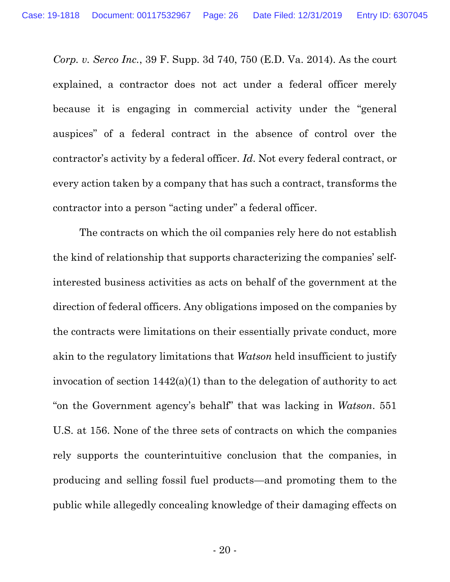*Corp. v. Serco Inc.*, 39 F. Supp. 3d 740, 750 (E.D. Va. 2014). As the court explained, a contractor does not act under a federal officer merely because it is engaging in commercial activity under the "general auspices" of a federal contract in the absence of control over the contractor's activity by a federal officer. *Id*. Not every federal contract, or every action taken by a company that has such a contract, transforms the contractor into a person "acting under" a federal officer.

The contracts on which the oil companies rely here do not establish the kind of relationship that supports characterizing the companies' selfinterested business activities as acts on behalf of the government at the direction of federal officers. Any obligations imposed on the companies by the contracts were limitations on their essentially private conduct, more akin to the regulatory limitations that *Watson* held insufficient to justify invocation of section 1442(a)(1) than to the delegation of authority to act "on the Government agency's behalf" that was lacking in *Watson*. 551 U.S. at 156. None of the three sets of contracts on which the companies rely supports the counterintuitive conclusion that the companies, in producing and selling fossil fuel products—and promoting them to the public while allegedly concealing knowledge of their damaging effects on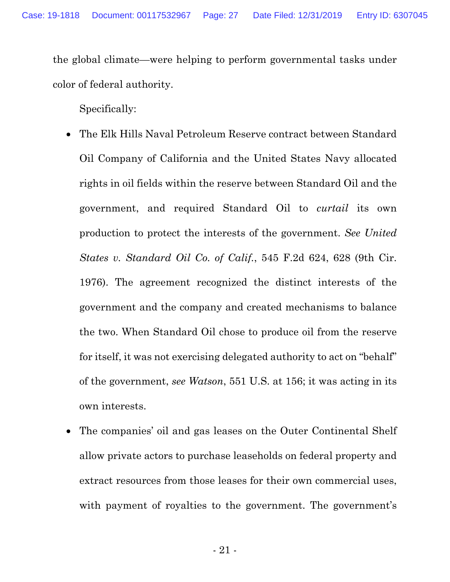the global climate—were helping to perform governmental tasks under color of federal authority.

Specifically:

- The Elk Hills Naval Petroleum Reserve contract between Standard Oil Company of California and the United States Navy allocated rights in oil fields within the reserve between Standard Oil and the government, and required Standard Oil to *curtail* its own production to protect the interests of the government. *See United States v. Standard Oil Co. of Calif.*, 545 F.2d 624, 628 (9th Cir. 1976). The agreement recognized the distinct interests of the government and the company and created mechanisms to balance the two. When Standard Oil chose to produce oil from the reserve for itself, it was not exercising delegated authority to act on "behalf" of the government, *see Watson*, 551 U.S. at 156; it was acting in its own interests.
- The companies' oil and gas leases on the Outer Continental Shelf allow private actors to purchase leaseholds on federal property and extract resources from those leases for their own commercial uses, with payment of royalties to the government. The government's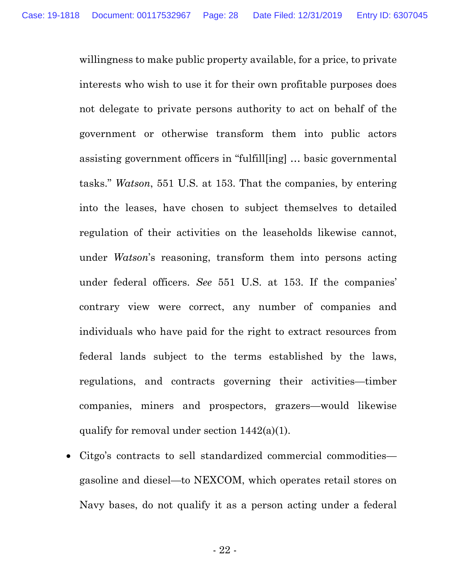willingness to make public property available, for a price, to private interests who wish to use it for their own profitable purposes does not delegate to private persons authority to act on behalf of the government or otherwise transform them into public actors assisting government officers in "fulfill[ing] … basic governmental tasks." *Watson*, 551 U.S. at 153. That the companies, by entering into the leases, have chosen to subject themselves to detailed regulation of their activities on the leaseholds likewise cannot, under *Watson*'s reasoning, transform them into persons acting under federal officers. *See* 551 U.S. at 153. If the companies' contrary view were correct, any number of companies and individuals who have paid for the right to extract resources from federal lands subject to the terms established by the laws, regulations, and contracts governing their activities—timber companies, miners and prospectors, grazers—would likewise qualify for removal under section 1442(a)(1).

 Citgo's contracts to sell standardized commercial commodities gasoline and diesel—to NEXCOM, which operates retail stores on Navy bases, do not qualify it as a person acting under a federal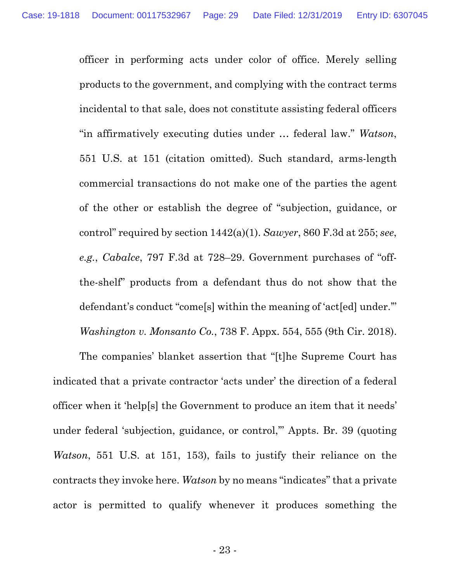officer in performing acts under color of office. Merely selling products to the government, and complying with the contract terms incidental to that sale, does not constitute assisting federal officers "in affirmatively executing duties under … federal law." *Watson*, 551 U.S. at 151 (citation omitted). Such standard, arms-length commercial transactions do not make one of the parties the agent of the other or establish the degree of "subjection, guidance, or control" required by section 1442(a)(1). *Sawyer*, 860 F.3d at 255; *see*, *e.g.*, *Cabalce*, 797 F.3d at 728–29. Government purchases of "offthe-shelf" products from a defendant thus do not show that the defendant's conduct "come[s] within the meaning of 'act[ed] under.'" *Washington v. Monsanto Co.*, 738 F. Appx. 554, 555 (9th Cir. 2018).

The companies' blanket assertion that "[t]he Supreme Court has indicated that a private contractor 'acts under' the direction of a federal officer when it 'help[s] the Government to produce an item that it needs' under federal 'subjection, guidance, or control,'" Appts. Br. 39 (quoting *Watson*, 551 U.S. at 151, 153), fails to justify their reliance on the contracts they invoke here. *Watson* by no means "indicates" that a private actor is permitted to qualify whenever it produces something the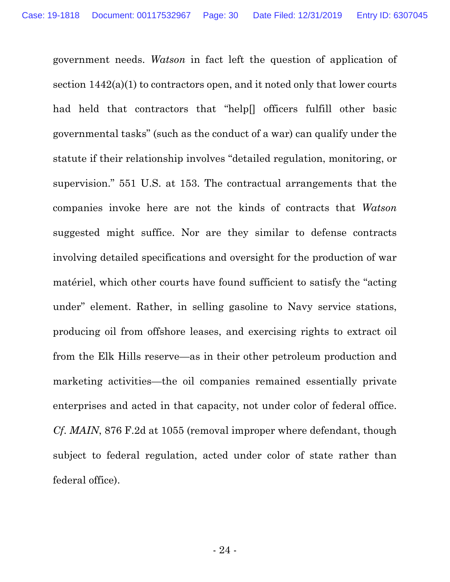government needs. *Watson* in fact left the question of application of section 1442(a)(1) to contractors open, and it noted only that lower courts had held that contractors that "help[] officers fulfill other basic governmental tasks" (such as the conduct of a war) can qualify under the statute if their relationship involves "detailed regulation, monitoring, or supervision." 551 U.S. at 153. The contractual arrangements that the companies invoke here are not the kinds of contracts that *Watson* suggested might suffice. Nor are they similar to defense contracts involving detailed specifications and oversight for the production of war matériel, which other courts have found sufficient to satisfy the "acting under" element. Rather, in selling gasoline to Navy service stations, producing oil from offshore leases, and exercising rights to extract oil from the Elk Hills reserve—as in their other petroleum production and marketing activities—the oil companies remained essentially private enterprises and acted in that capacity, not under color of federal office. *Cf*. *MAIN*, 876 F.2d at 1055 (removal improper where defendant, though subject to federal regulation, acted under color of state rather than federal office).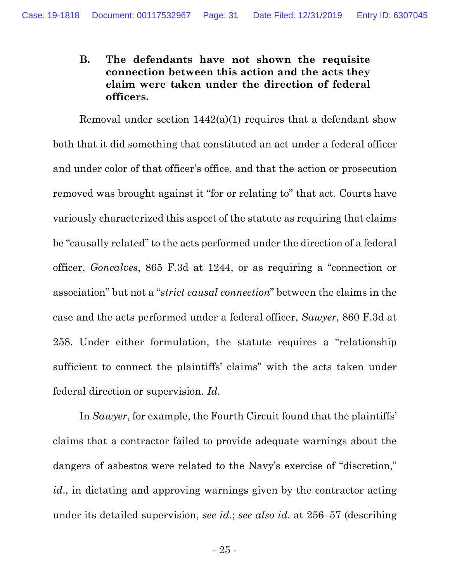## **B. The defendants have not shown the requisite connection between this action and the acts they claim were taken under the direction of federal officers.**

Removal under section 1442(a)(1) requires that a defendant show both that it did something that constituted an act under a federal officer and under color of that officer's office, and that the action or prosecution removed was brought against it "for or relating to" that act. Courts have variously characterized this aspect of the statute as requiring that claims be "causally related" to the acts performed under the direction of a federal officer, *Goncalves*, 865 F.3d at 1244, or as requiring a "connection or association" but not a "*strict causal connection*" between the claims in the case and the acts performed under a federal officer, *Sawyer*, 860 F.3d at 258. Under either formulation, the statute requires a "relationship sufficient to connect the plaintiffs' claims" with the acts taken under federal direction or supervision. *Id*.

In *Sawyer*, for example, the Fourth Circuit found that the plaintiffs' claims that a contractor failed to provide adequate warnings about the dangers of asbestos were related to the Navy's exercise of "discretion," *id*., in dictating and approving warnings given by the contractor acting under its detailed supervision, *see id*.; *see also id*. at 256–57 (describing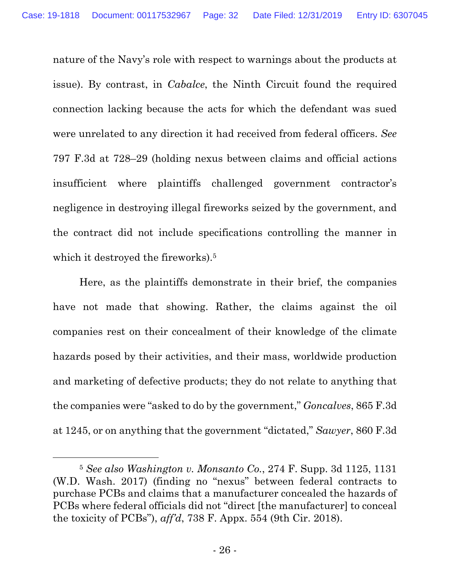nature of the Navy's role with respect to warnings about the products at issue). By contrast, in *Cabalce*, the Ninth Circuit found the required connection lacking because the acts for which the defendant was sued were unrelated to any direction it had received from federal officers. *See* 797 F.3d at 728–29 (holding nexus between claims and official actions insufficient where plaintiffs challenged government contractor's negligence in destroying illegal fireworks seized by the government, and the contract did not include specifications controlling the manner in which it destroyed the fireworks).<sup>5</sup>

Here, as the plaintiffs demonstrate in their brief, the companies have not made that showing. Rather, the claims against the oil companies rest on their concealment of their knowledge of the climate hazards posed by their activities, and their mass, worldwide production and marketing of defective products; they do not relate to anything that the companies were "asked to do by the government," *Goncalves*, 865 F.3d at 1245, or on anything that the government "dictated," *Sawyer*, 860 F.3d

<sup>5</sup> *See also Washington v. Monsanto Co.*, 274 F. Supp. 3d 1125, 1131 (W.D. Wash. 2017) (finding no "nexus" between federal contracts to purchase PCBs and claims that a manufacturer concealed the hazards of PCBs where federal officials did not "direct [the manufacturer] to conceal the toxicity of PCBs"), *aff'd*, 738 F. Appx. 554 (9th Cir. 2018).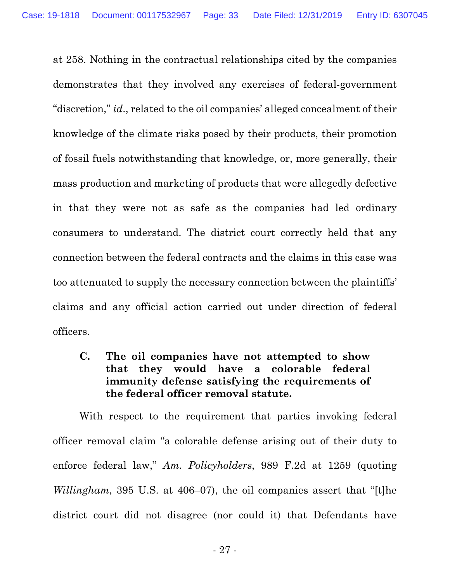at 258. Nothing in the contractual relationships cited by the companies demonstrates that they involved any exercises of federal-government "discretion," *id*., related to the oil companies' alleged concealment of their knowledge of the climate risks posed by their products, their promotion of fossil fuels notwithstanding that knowledge, or, more generally, their mass production and marketing of products that were allegedly defective in that they were not as safe as the companies had led ordinary consumers to understand. The district court correctly held that any connection between the federal contracts and the claims in this case was too attenuated to supply the necessary connection between the plaintiffs' claims and any official action carried out under direction of federal officers.

**C. The oil companies have not attempted to show that they would have a colorable federal immunity defense satisfying the requirements of the federal officer removal statute.** 

With respect to the requirement that parties invoking federal officer removal claim "a colorable defense arising out of their duty to enforce federal law," *Am. Policyholders*, 989 F.2d at 1259 (quoting *Willingham*, 395 U.S. at 406–07), the oil companies assert that "[t]he district court did not disagree (nor could it) that Defendants have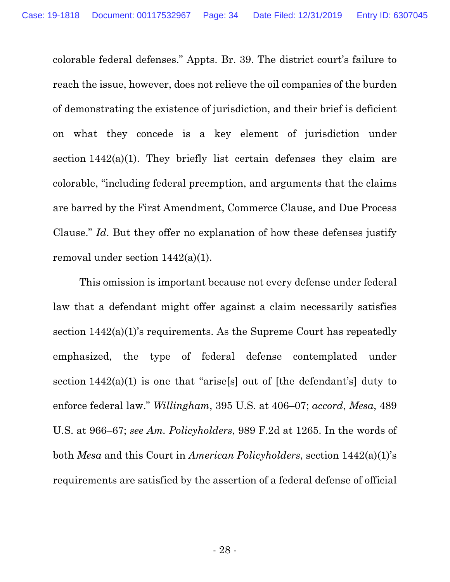colorable federal defenses." Appts. Br. 39. The district court's failure to reach the issue, however, does not relieve the oil companies of the burden of demonstrating the existence of jurisdiction, and their brief is deficient on what they concede is a key element of jurisdiction under section 1442(a)(1). They briefly list certain defenses they claim are colorable, "including federal preemption, and arguments that the claims are barred by the First Amendment, Commerce Clause, and Due Process Clause." *Id*. But they offer no explanation of how these defenses justify removal under section 1442(a)(1).

This omission is important because not every defense under federal law that a defendant might offer against a claim necessarily satisfies section 1442(a)(1)'s requirements. As the Supreme Court has repeatedly emphasized, the type of federal defense contemplated under section  $1442(a)(1)$  is one that "arise[s] out of [the defendant's] duty to enforce federal law." *Willingham*, 395 U.S. at 406–07; *accord*, *Mesa*, 489 U.S. at 966–67; *see Am. Policyholders*, 989 F.2d at 1265. In the words of both *Mesa* and this Court in *American Policyholders*, section 1442(a)(1)'s requirements are satisfied by the assertion of a federal defense of official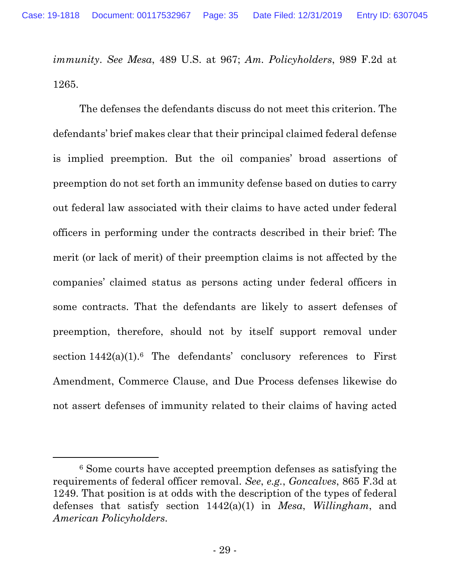*immunity*. *See Mesa*, 489 U.S. at 967; *Am. Policyholders*, 989 F.2d at 1265.

The defenses the defendants discuss do not meet this criterion. The defendants' brief makes clear that their principal claimed federal defense is implied preemption. But the oil companies' broad assertions of preemption do not set forth an immunity defense based on duties to carry out federal law associated with their claims to have acted under federal officers in performing under the contracts described in their brief: The merit (or lack of merit) of their preemption claims is not affected by the companies' claimed status as persons acting under federal officers in some contracts. That the defendants are likely to assert defenses of preemption, therefore, should not by itself support removal under section  $1442(a)(1)$ .<sup>6</sup> The defendants' conclusory references to First Amendment, Commerce Clause, and Due Process defenses likewise do not assert defenses of immunity related to their claims of having acted

<sup>6</sup> Some courts have accepted preemption defenses as satisfying the requirements of federal officer removal. *See*, *e.g.*, *Goncalves*, 865 F.3d at 1249. That position is at odds with the description of the types of federal defenses that satisfy section 1442(a)(1) in *Mesa*, *Willingham*, and *American Policyholders*.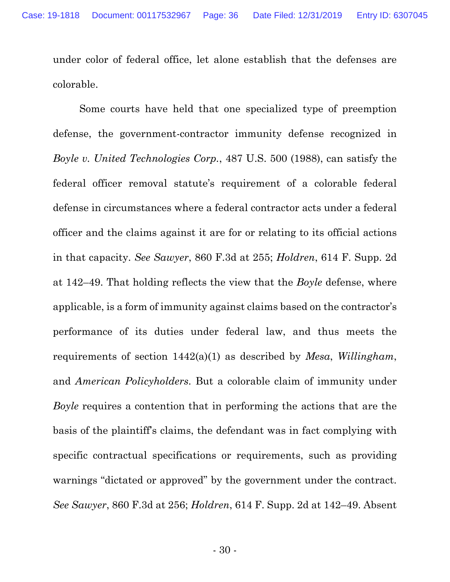under color of federal office, let alone establish that the defenses are colorable.

Some courts have held that one specialized type of preemption defense, the government-contractor immunity defense recognized in *Boyle v. United Technologies Corp.*, 487 U.S. 500 (1988), can satisfy the federal officer removal statute's requirement of a colorable federal defense in circumstances where a federal contractor acts under a federal officer and the claims against it are for or relating to its official actions in that capacity. *See Sawyer*, 860 F.3d at 255; *Holdren*, 614 F. Supp. 2d at 142–49. That holding reflects the view that the *Boyle* defense, where applicable, is a form of immunity against claims based on the contractor's performance of its duties under federal law, and thus meets the requirements of section 1442(a)(1) as described by *Mesa*, *Willingham*, and *American Policyholders*. But a colorable claim of immunity under *Boyle* requires a contention that in performing the actions that are the basis of the plaintiff's claims, the defendant was in fact complying with specific contractual specifications or requirements, such as providing warnings "dictated or approved" by the government under the contract. *See Sawyer*, 860 F.3d at 256; *Holdren*, 614 F. Supp. 2d at 142–49. Absent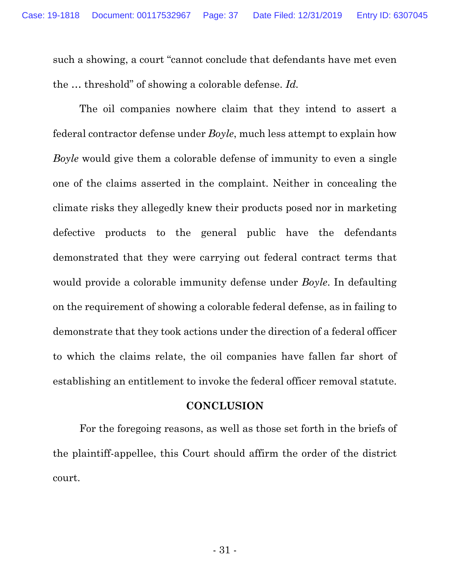such a showing, a court "cannot conclude that defendants have met even the … threshold" of showing a colorable defense. *Id.*

The oil companies nowhere claim that they intend to assert a federal contractor defense under *Boyle*, much less attempt to explain how *Boyle* would give them a colorable defense of immunity to even a single one of the claims asserted in the complaint. Neither in concealing the climate risks they allegedly knew their products posed nor in marketing defective products to the general public have the defendants demonstrated that they were carrying out federal contract terms that would provide a colorable immunity defense under *Boyle*. In defaulting on the requirement of showing a colorable federal defense, as in failing to demonstrate that they took actions under the direction of a federal officer to which the claims relate, the oil companies have fallen far short of establishing an entitlement to invoke the federal officer removal statute.

#### **CONCLUSION**

For the foregoing reasons, as well as those set forth in the briefs of the plaintiff-appellee, this Court should affirm the order of the district court.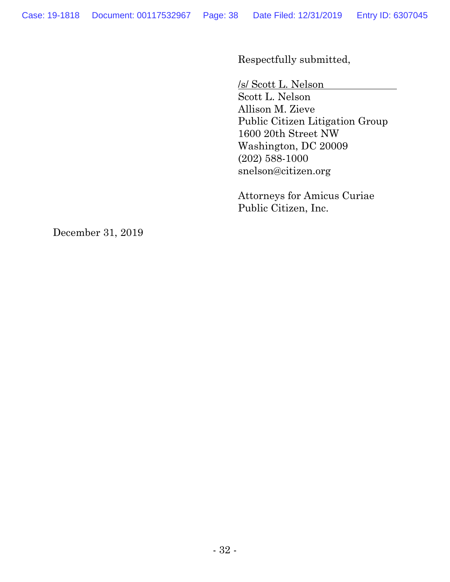Respectfully submitted,

/s/ Scott L. Nelson

Scott L. Nelson Allison M. Zieve Public Citizen Litigation Group 1600 20th Street NW Washington, DC 20009 (202) 588-1000 snelson@citizen.org

Attorneys for Amicus Curiae Public Citizen, Inc.

December 31, 2019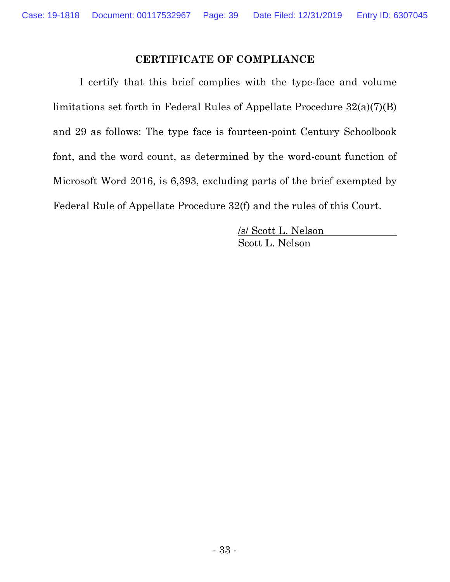### **CERTIFICATE OF COMPLIANCE**

I certify that this brief complies with the type-face and volume limitations set forth in Federal Rules of Appellate Procedure 32(a)(7)(B) and 29 as follows: The type face is fourteen-point Century Schoolbook font, and the word count, as determined by the word-count function of Microsoft Word 2016, is 6,393, excluding parts of the brief exempted by Federal Rule of Appellate Procedure 32(f) and the rules of this Court.

> /s/ Scott L. Nelson Scott L. Nelson